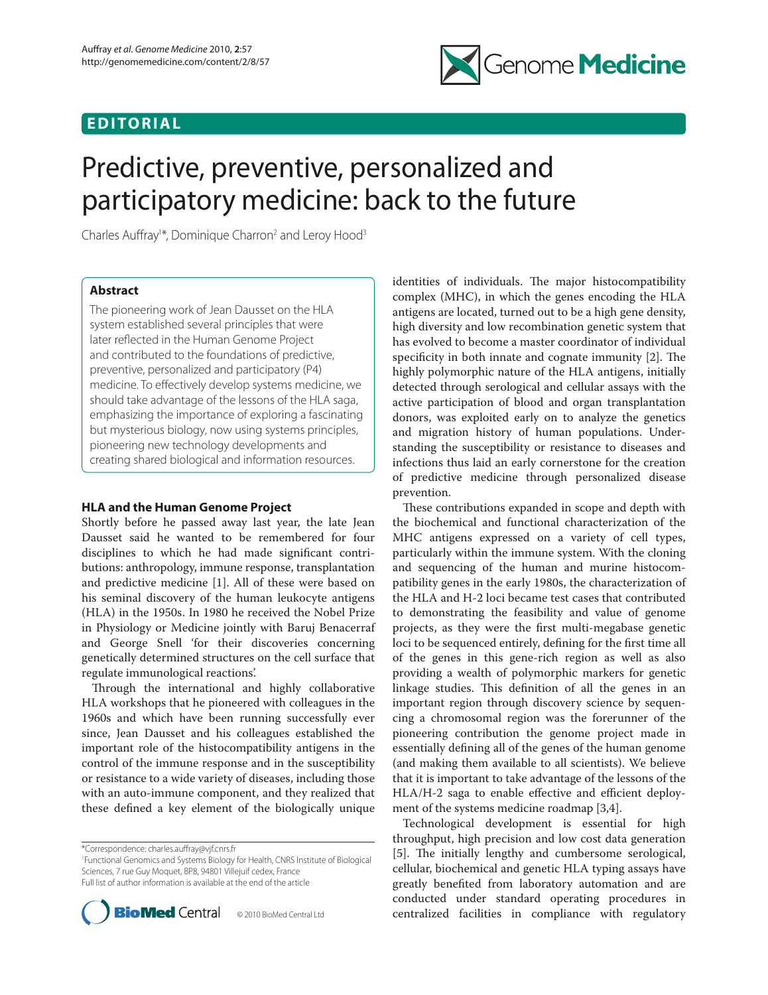## **EDITORIAL**



# Predictive, preventive, personalized and participatory medicine: back to the future

Charles Auffray<sup>1\*</sup>, Dominique Charron<sup>2</sup> and Leroy Hood<sup>3</sup>

## **Abstract**

The pioneering work of Jean Dausset on the HLA system established several principles that were later reflected in the Human Genome Project and contributed to the foundations of predictive, preventive, personalized and participatory (P4) medicine. To effectively develop systems medicine, we should take advantage of the lessons of the HLA saga, emphasizing the importance of exploring a fascinating but mysterious biology, now using systems principles, pioneering new technology developments and creating shared biological and information resources.

## **HLA and the Human Genome Project**

Shortly before he passed away last year, the late Jean Dausset said he wanted to be remembered for four disciplines to which he had made significant contributions: anthropology, immune response, transplantation and predictive medicine [1]. All of these were based on his seminal discovery of the human leukocyte antigens (HLA) in the 1950s. In 1980 he received the Nobel Prize in Physiology or Medicine jointly with Baruj Benacerraf and George Snell 'for their discoveries concerning genetically determined structures on the cell surface that regulate immunological reactions'.

Through the international and highly collaborative HLA workshops that he pioneered with colleagues in the 1960s and which have been running successfully ever since, Jean Dausset and his colleagues established the important role of the histocompatibility antigens in the control of the immune response and in the susceptibility or resistance to a wide variety of diseases, including those with an auto-immune component, and they realized that these defined a key element of the biologically unique

\*Correspondence: charles.auffray@vjf.cnrs.fr

<sup>1</sup> Functional Genomics and Systems Biology for Health, CNRS Institute of Biological Sciences, 7 rue Guy Moquet, BP8, 94801 Villejuif cedex, France Full list of author information is available at the end of the article



identities of individuals. The major histocompatibility complex (MHC), in which the genes encoding the HLA antigens are located, turned out to be a high gene density, high diversity and low recombination genetic system that has evolved to become a master coordinator of individual specificity in both innate and cognate immunity  $[2]$ . The highly polymorphic nature of the HLA antigens, initially detected through serological and cellular assays with the active participation of blood and organ transplantation donors, was exploited early on to analyze the genetics and migration history of human populations. Understanding the susceptibility or resistance to diseases and infections thus laid an early cornerstone for the creation of predictive medicine through personalized disease prevention.

These contributions expanded in scope and depth with the biochemical and functional characterization of the MHC antigens expressed on a variety of cell types, particularly within the immune system. With the cloning and sequencing of the human and murine histocompatibility genes in the early 1980s, the characterization of the HLA and H-2 loci became test cases that contributed to demonstrating the feasibility and value of genome projects, as they were the first multi-megabase genetic loci to be sequenced entirely, defining for the first time all of the genes in this gene-rich region as well as also providing a wealth of polymorphic markers for genetic linkage studies. This definition of all the genes in an important region through discovery science by sequencing a chromosomal region was the forerunner of the pioneering contribution the genome project made in essentially defining all of the genes of the human genome (and making them available to all scientists). We believe that it is important to take advantage of the lessons of the HLA/H-2 saga to enable effective and efficient deployment of the systems medicine roadmap [3,4].

Technological development is essential for high throughput, high precision and low cost data generation [5]. The initially lengthy and cumbersome serological, cellular, biochemical and genetic HLA typing assays have greatly benefited from laboratory automation and are conducted under standard operating procedures in centralized facilities in compliance with regulatory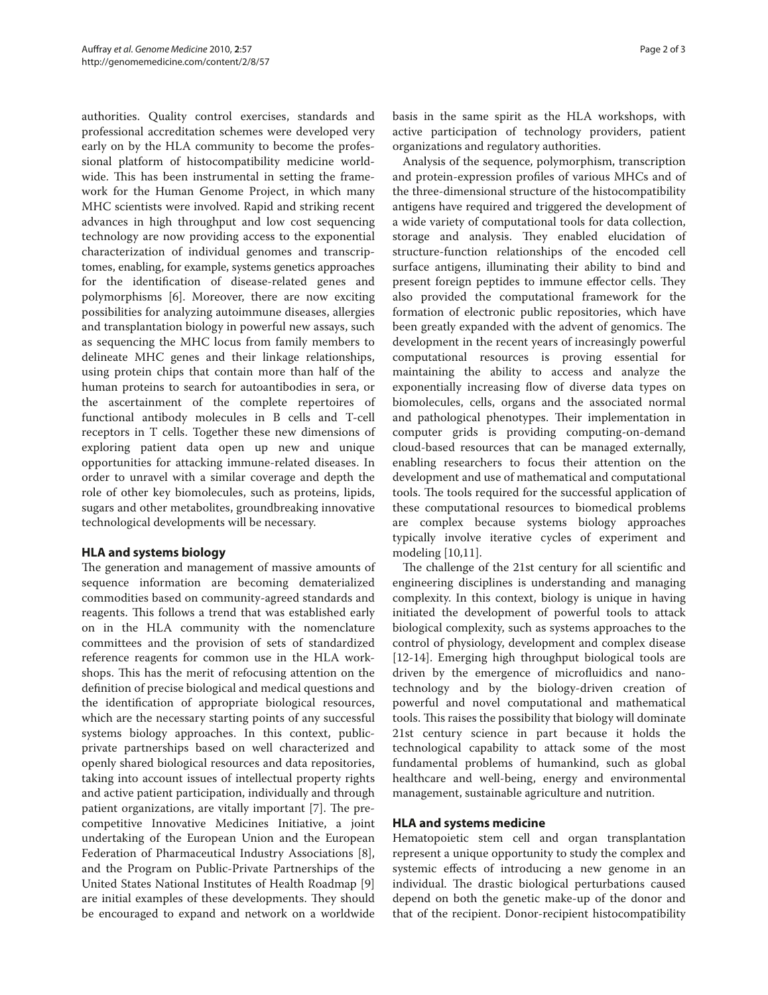authorities. Quality control exercises, standards and professional accreditation schemes were developed very early on by the HLA community to become the professional platform of histocompatibility medicine worldwide. This has been instrumental in setting the framework for the Human Genome Project, in which many MHC scientists were involved. Rapid and striking recent advances in high throughput and low cost sequencing technology are now providing access to the exponential characterization of individual genomes and transcriptomes, enabling, for example, systems genetics approaches for the identification of disease-related genes and polymorphisms [6]. Moreover, there are now exciting possibilities for analyzing autoimmune diseases, allergies and transplantation biology in powerful new assays, such as sequencing the MHC locus from family members to delineate MHC genes and their linkage relationships, using protein chips that contain more than half of the human proteins to search for autoantibodies in sera, or the ascertainment of the complete repertoires of functional antibody molecules in B cells and T-cell receptors in T cells. Together these new dimensions of exploring patient data open up new and unique opportunities for attacking immune-related diseases. In order to unravel with a similar coverage and depth the role of other key biomolecules, such as proteins, lipids, sugars and other metabolites, groundbreaking innovative technological developments will be necessary.

## **HLA and systems biology**

The generation and management of massive amounts of sequence information are becoming dematerialized commodities based on community-agreed standards and reagents. This follows a trend that was established early on in the HLA community with the nomenclature committees and the provision of sets of standardized reference reagents for common use in the HLA workshops. This has the merit of refocusing attention on the definition of precise biological and medical questions and the identification of appropriate biological resources, which are the necessary starting points of any successful systems biology approaches. In this context, publicprivate partnerships based on well characterized and openly shared biological resources and data repositories, taking into account issues of intellectual property rights and active patient participation, individually and through patient organizations, are vitally important [7]. The precompetitive Innovative Medicines Initiative, a joint undertaking of the European Union and the European Federation of Pharmaceutical Industry Associations [8], and the Program on Public-Private Partnerships of the United States National Institutes of Health Roadmap [9] are initial examples of these developments. They should be encouraged to expand and network on a worldwide

basis in the same spirit as the HLA workshops, with active participation of technology providers, patient organizations and regulatory authorities.

Analysis of the sequence, polymorphism, transcription and protein-expression profiles of various MHCs and of the three-dimensional structure of the histocompatibility antigens have required and triggered the development of a wide variety of computational tools for data collection, storage and analysis. They enabled elucidation of structure-function relationships of the encoded cell surface antigens, illuminating their ability to bind and present foreign peptides to immune effector cells. They also provided the computational framework for the formation of electronic public repositories, which have been greatly expanded with the advent of genomics. The development in the recent years of increasingly powerful computational resources is proving essential for maintaining the ability to access and analyze the exponentially increasing flow of diverse data types on biomolecules, cells, organs and the associated normal and pathological phenotypes. Their implementation in computer grids is providing computing-on-demand cloud-based resources that can be managed externally, enabling researchers to focus their attention on the development and use of mathematical and computational tools. The tools required for the successful application of these computational resources to biomedical problems are complex because systems biology approaches typically involve iterative cycles of experiment and modeling [10,11].

The challenge of the 21st century for all scientific and engineering disciplines is understanding and managing complexity. In this context, biology is unique in having initiated the development of powerful tools to attack biological complexity, such as systems approaches to the control of physiology, development and complex disease [12-14]. Emerging high throughput biological tools are driven by the emergence of microfluidics and nanotechnology and by the biology-driven creation of powerful and novel computational and mathematical tools. This raises the possibility that biology will dominate 21st century science in part because it holds the technological capability to attack some of the most fundamental problems of humankind, such as global healthcare and well-being, energy and environmental management, sustainable agriculture and nutrition.

### **HLA and systems medicine**

Hematopoietic stem cell and organ transplantation represent a unique opportunity to study the complex and systemic effects of introducing a new genome in an individual. The drastic biological perturbations caused depend on both the genetic make-up of the donor and that of the recipient. Donor-recipient histocompatibility